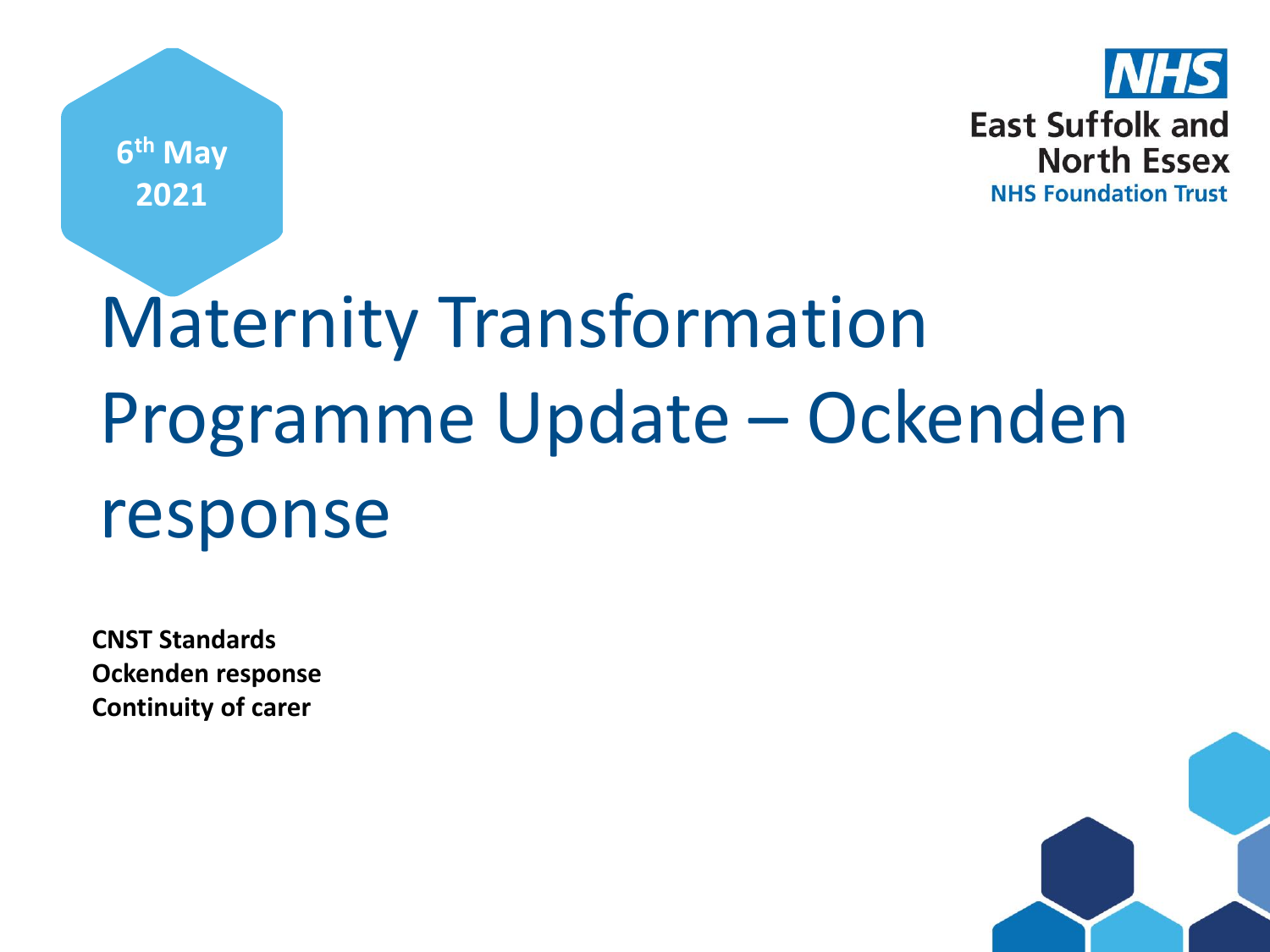**6 th May 2021**



## Maternity Transformation Programme Update – Ockenden response

**CNST Standards Ockenden response Continuity of carer**

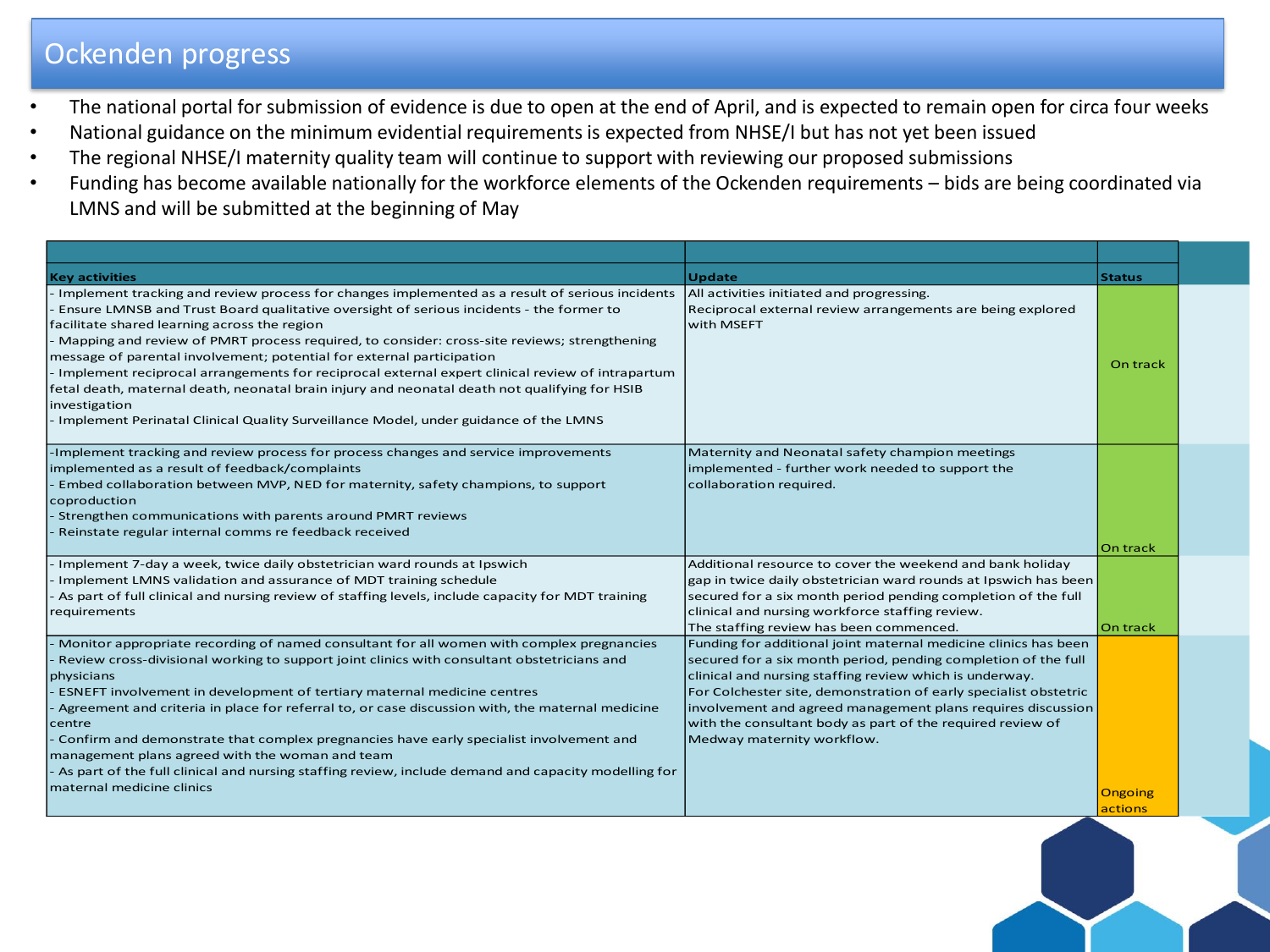## Ockenden progress

- The national portal for submission of evidence is due to open at the end of April, and is expected to remain open for circa four weeks
- National guidance on the minimum evidential requirements is expected from NHSE/I but has not yet been issued
- The regional NHSE/I maternity quality team will continue to support with reviewing our proposed submissions
- Funding has become available nationally for the workforce elements of the Ockenden requirements bids are being coordinated via LMNS and will be submitted at the beginning of May

| <b>Key activities</b>                                                                                                                                                                                                                                                                                                                                                                                                                                                                                                                                                                                                                                                                                                             | <b>Update</b>                                                                                                                                                                                                                                                                                                                                                                                                               | <b>Status</b>      |
|-----------------------------------------------------------------------------------------------------------------------------------------------------------------------------------------------------------------------------------------------------------------------------------------------------------------------------------------------------------------------------------------------------------------------------------------------------------------------------------------------------------------------------------------------------------------------------------------------------------------------------------------------------------------------------------------------------------------------------------|-----------------------------------------------------------------------------------------------------------------------------------------------------------------------------------------------------------------------------------------------------------------------------------------------------------------------------------------------------------------------------------------------------------------------------|--------------------|
| - Implement tracking and review process for changes implemented as a result of serious incidents<br>Ensure LMNSB and Trust Board qualitative oversight of serious incidents - the former to<br>facilitate shared learning across the region<br>Mapping and review of PMRT process required, to consider: cross-site reviews; strengthening<br>message of parental involvement; potential for external participation<br>- Implement reciprocal arrangements for reciprocal external expert clinical review of intrapartum<br>fetal death, maternal death, neonatal brain injury and neonatal death not qualifying for HSIB<br>investigation<br>Implement Perinatal Clinical Quality Surveillance Model, under guidance of the LMNS | All activities initiated and progressing.<br>Reciprocal external review arrangements are being explored<br>with MSEFT                                                                                                                                                                                                                                                                                                       | On track           |
| -Implement tracking and review process for process changes and service improvements<br>implemented as a result of feedback/complaints<br>Embed collaboration between MVP, NED for maternity, safety champions, to support<br>coproduction<br>Strengthen communications with parents around PMRT reviews<br>Reinstate regular internal comms re feedback received                                                                                                                                                                                                                                                                                                                                                                  | Maternity and Neonatal safety champion meetings<br>implemented - further work needed to support the<br>collaboration required.                                                                                                                                                                                                                                                                                              | On track           |
| Implement 7-day a week, twice daily obstetrician ward rounds at Ipswich<br>Implement LMNS validation and assurance of MDT training schedule<br>As part of full clinical and nursing review of staffing levels, include capacity for MDT training<br>requirements                                                                                                                                                                                                                                                                                                                                                                                                                                                                  | Additional resource to cover the weekend and bank holiday<br>gap in twice daily obstetrician ward rounds at Ipswich has been<br>secured for a six month period pending completion of the full<br>clinical and nursing workforce staffing review.<br>The staffing review has been commenced.                                                                                                                                 | On track           |
| Monitor appropriate recording of named consultant for all women with complex pregnancies<br>Review cross-divisional working to support joint clinics with consultant obstetricians and<br>physicians<br>ESNEFT involvement in development of tertiary maternal medicine centres<br>Agreement and criteria in place for referral to, or case discussion with, the maternal medicine<br>centre<br>Confirm and demonstrate that complex pregnancies have early specialist involvement and<br>management plans agreed with the woman and team<br>As part of the full clinical and nursing staffing review, include demand and capacity modelling for<br>maternal medicine clinics                                                     | Funding for additional joint maternal medicine clinics has been<br>secured for a six month period, pending completion of the full<br>clinical and nursing staffing review which is underway.<br>For Colchester site, demonstration of early specialist obstetric<br>involvement and agreed management plans requires discussion<br>with the consultant body as part of the required review of<br>Medway maternity workflow. | Ongoing<br>actions |